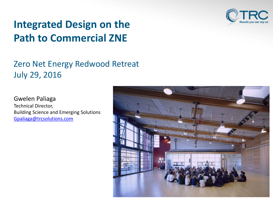

## **Integrated Design on the Path to Commercial ZNE**

### Zero Net Energy Redwood Retreat July 29, 2016

Gwelen Paliaga Technical Director, Building Science and Emerging Solutions [Gpaliaga@trcsolutions.com](mailto:Gpaliaga@trcsolutions.com)

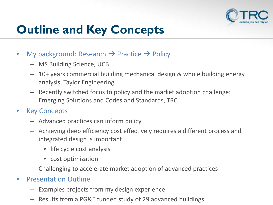

# **Outline and Key Concepts**

- My background: Research  $\rightarrow$  Practice  $\rightarrow$  Policy
	- MS Building Science, UCB
	- 10+ years commercial building mechanical design & whole building energy analysis, Taylor Engineering
	- Recently switched focus to policy and the market adoption challenge: Emerging Solutions and Codes and Standards, TRC
- Key Concepts
	- Advanced practices can inform policy
	- Achieving deep efficiency cost effectively requires a different process and integrated design is important
		- life cycle cost analysis
		- cost optimization
	- Challenging to accelerate market adoption of advanced practices
- Presentation Outline
	- Examples projects from my design experience
	- Results from a PG&E funded study of 29 advanced buildings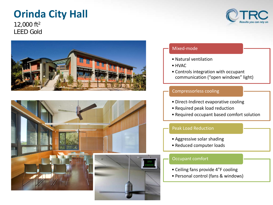## **Orinda City Hall**

12,000 ft2 LEED Gold



#### Mixed-mode

- Natural ventilation
- HVAC
- Controls integration with occupant communication ("open windows" light)

#### Compressorless cooling

- Direct-Indirect evaporative cooling
- Required peak load reduction
- Required occupant based comfort solution

#### Peak Load Reduction

- Aggressive solar shading
- Reduced computer loads

#### Occupant comfort

- Ceiling fans provide 4°F cooling
- Personal control (fans & windows)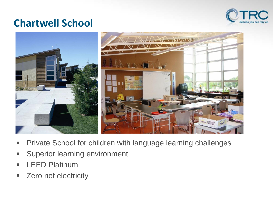

### **Chartwell School**



- **Private School for children with language learning challenges**
- **Superior learning environment**
- **LEED Platinum**
- **EXECO net electricity**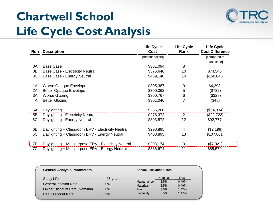# **Chartwell School Life Cycle Cost Analysis**



| Run        | <b>Description</b>                                   | <b>Life Cycle</b><br>Cost | <b>Life Cycle</b><br>Rank | <b>Life Cycle</b><br><b>Cost Difference</b> |
|------------|------------------------------------------------------|---------------------------|---------------------------|---------------------------------------------|
|            |                                                      | [present dollars]         |                           | [compared to                                |
|            |                                                      |                           |                           | base case]                                  |
| 0A         | <b>Base Case</b>                                     | \$301,094                 | 8                         |                                             |
| 0B         | <b>Base Case - Electricity Neutral</b>               | \$375,640                 | 10                        | \$74,546                                    |
| OC         | Base Case - Energy Neutral                           | \$469,140                 | 14                        | \$168,046                                   |
| 1A         | Worse Opaque Envelope                                | \$305,387                 | 9                         | \$4,293                                     |
| 2A         | <b>Better Opaque Envelope</b>                        | \$300,362                 | 5                         | (\$732)                                     |
| 3A         | <b>Worse Glazing</b>                                 | \$300,767                 | 6                         | (\$328)                                     |
| 4A         | <b>Better Glazing</b>                                | \$301,046                 | 7                         | (\$48)                                      |
| 5A         | Daylighting                                          | \$236,260                 |                           | (\$64, 834)                                 |
| 5B         | Daylighting - Electricity Neutral                    | \$278,372                 | 2                         | (\$22,723)                                  |
| 5C         | Daylighting - Energy Neutral                         | \$393,872                 | 12                        | \$92,777                                    |
| 6B         | Daylighting + Classroom ERV - Electricity Neutral    | \$298,895                 | 4                         | (\$2,199)                                   |
| 6C         | Daylighting + Classroom ERV - Energy Neutral         | \$408,895                 | 13                        | \$107,801                                   |
| $\vert$ 7B | Daylighting + Multipurpose ERV - Electricity Neutral | \$293,174                 | 3                         | (\$7,921)                                   |
| 7C         | Daylighting + Multipurpose ERV - Energy Neutral      | \$386,674                 | 11                        | \$85,579                                    |

| <b>General Analysis Parameters</b> | <b>Annual Escalation Rates</b> |                                 |              |                |  |
|------------------------------------|--------------------------------|---------------------------------|--------------|----------------|--|
| Study Life                         | 25 years                       |                                 | Nominal      | Real           |  |
| <b>General Inflation Rate</b>      | 2.0%                           | Maintenance<br><b>Materials</b> | 2.5%<br>2.5% | 0.49%<br>0.49% |  |
| Owner Discount Rate (Nominal)      | 6.0%                           | Fuel                            | 3.5%         | 1.47%          |  |
| <b>Real Discount Rate</b>          | 3.9%                           | Electricity                     | 3.5%         | 1.47%          |  |
|                                    |                                |                                 |              |                |  |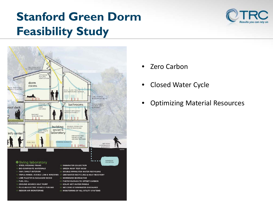# **Stanford Green Dorm Feasibility Study**





- Zero Carbon
- Closed Water Cycle
- Optimizing Material Resources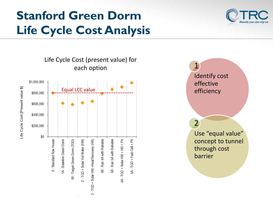# **Stanford Green Dorm Life Cycle Cost Analysis**





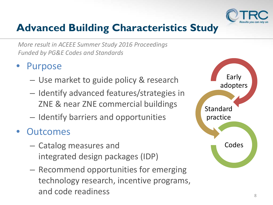

## **Advanced Building Characteristics Study**

*More result in ACEEE Summer Study 2016 Proceedings Funded by PG&E Codes and Standards*

- **Purpose** 
	- Use market to guide policy & research
	- Identify advanced features/strategies in ZNE & near ZNE commercial buildings
	- Identify barriers and opportunities
- **Outcomes** 
	- Catalog measures and integrated design packages (IDP)
	- Recommend opportunities for emerging technology research, incentive programs, and code readiness

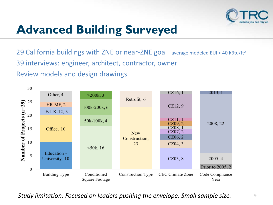

# **Advanced Building Surveyed**

29 California buildings with ZNE or near-ZNE goal - average modeled EUI < 40 kBtu/ft<sup>2</sup> 39 interviews: engineer, architect, contractor, owner Review models and design drawings



*Study limitation: Focused on leaders pushing the envelope. Small sample size.*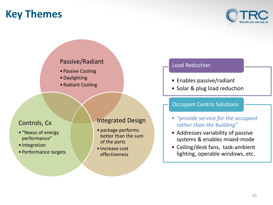## **Key Themes**



### Passive/Radiant

- Passive Cooling
- •Daylighting
- Radiant Cooling

### Controls, Cx

- "Nexus of energy performance"
- Integration
- Performance targets

### Integrated Design

- package performs better than the sum of the parts
- Increase cost effectiveness

### Load Reduction

- Enables passive/radiant
- Solar & plug load reduction

#### Occupant Centric Solutions

- *"provide service for the occupant rather than the building"*
- Addresses variability of passive systems & enables mixed-mode
- Ceiling/desk fans, task-ambient lighting, operable windows, etc.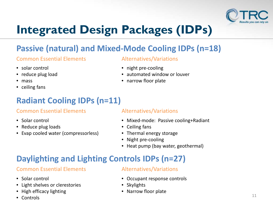

# **Integrated Design Packages (IDPs)**

### **Passive (natural) and Mixed-Mode Cooling IDPs (n=18)**

### Common Essential Elements Alternatives/Variations

- solar control
- reduce plug load
- mass
- ceiling fans

### **Radiant Cooling IDPs (n=11)**

### Common Essential Elements Alternatives/Variations

- Solar control
- Reduce plug loads
- Evap cooled water (compressorless)

- night pre-cooling
- automated window or louver
- narrow floor plate

- Mixed-mode: Passive cooling+Radiant
- Ceiling fans
- Thermal energy storage
- Night pre-cooling
- Heat pump (bay water, geothermal)

### **Daylighting and Lighting Controls IDPs (n=27)**

### Common Essential Elements Alternatives/Variations

- Solar control
- Light shelves or clerestories
- High efficacy lighting
- Controls

- Occupant response controls
- Skylights
- Narrow floor plate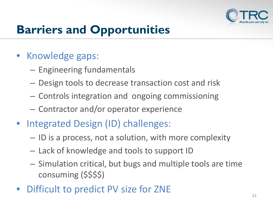

# **Barriers and Opportunities**

- Knowledge gaps:
	- Engineering fundamentals
	- Design tools to decrease transaction cost and risk
	- Controls integration and ongoing commissioning
	- Contractor and/or operator experience
- Integrated Design (ID) challenges:
	- ID is a process, not a solution, with more complexity
	- Lack of knowledge and tools to support ID
	- Simulation critical, but bugs and multiple tools are time consuming (\$\$\$\$)
- Difficult to predict PV size for ZNE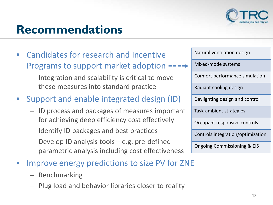

# **Recommendations**

- Candidates for research and Incentive Programs to support market adoption  $---$ 
	- Integration and scalability is critical to move these measures into standard practice
- Support and enable integrated design (ID)
	- ID process and packages of measures important for achieving deep efficiency cost effectively
	- Identify ID packages and best practices
	- Develop ID analysis tools e.g. pre-defined parametric analysis including cost effectiveness
- Improve energy predictions to size PV for ZNE
	- Benchmarking
	- Plug load and behavior libraries closer to reality

Natural ventilation design Mixed-mode systems Comfort performance simulation Radiant cooling design Daylighting design and control Task-ambient strategies Occupant responsive controls Controls integration/optimization Ongoing Commissioning & EIS